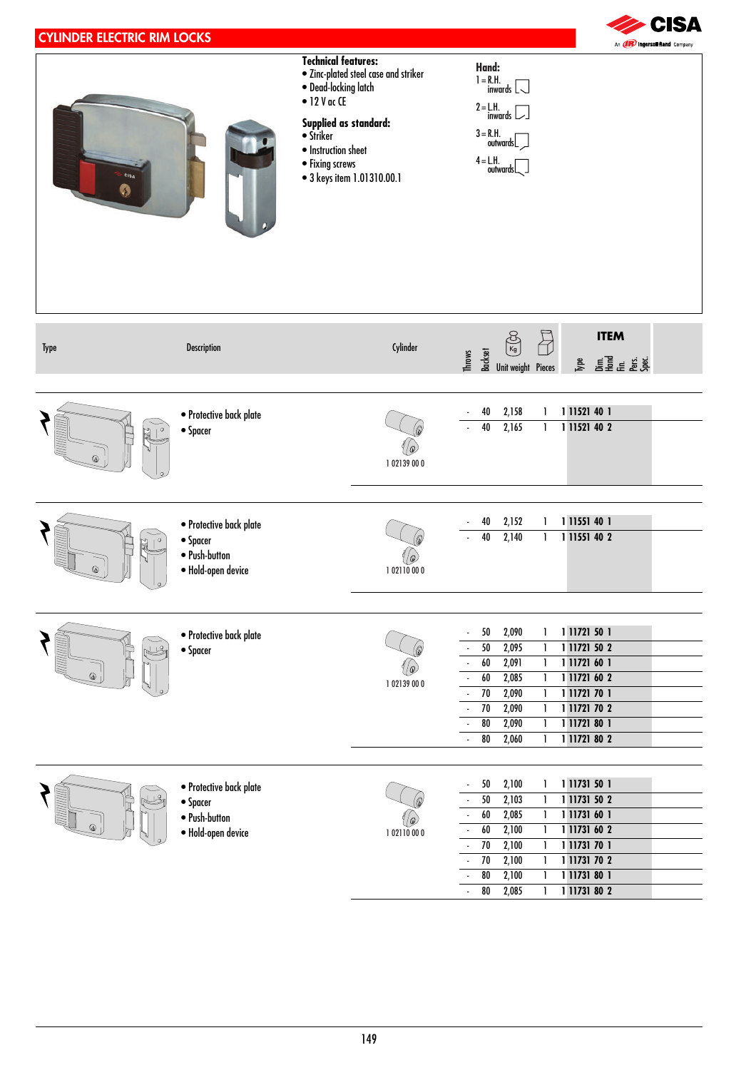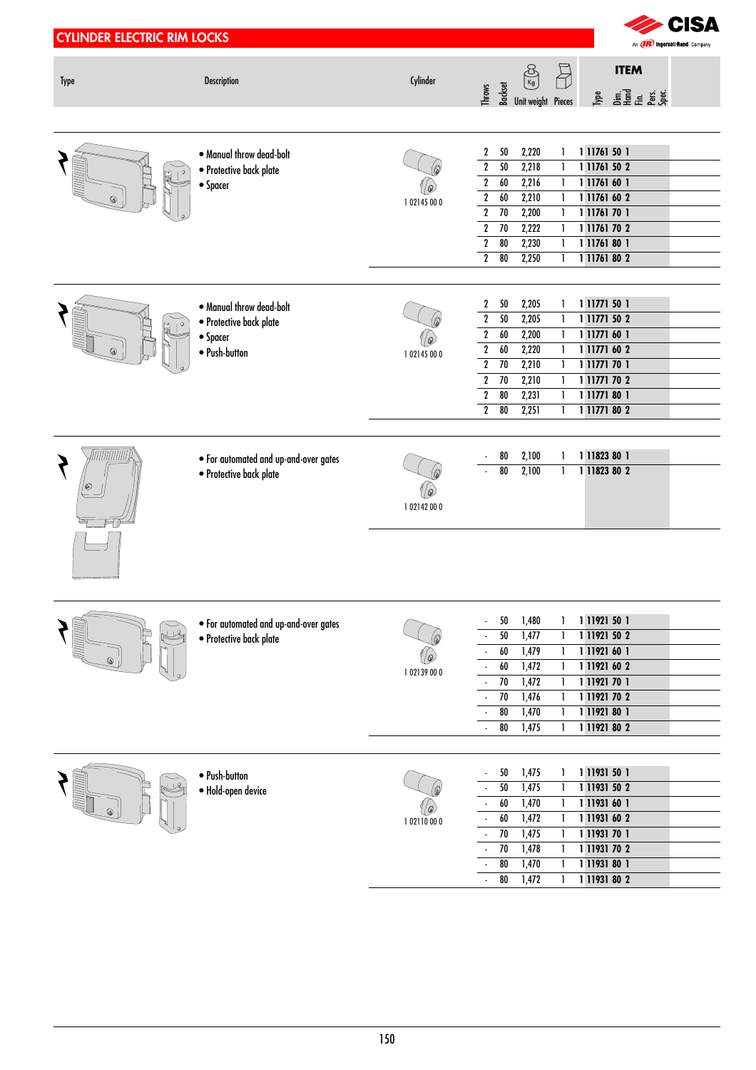| <b>CYLINDER ELECTRIC RIM LOCKS</b> |                                                                                  |                        |                                                                                                                                                                                                                                                                                                                                                                                                                                                 | CISA<br>An <b>(IR)</b> mgersoll Rand Company                                                                                 |
|------------------------------------|----------------------------------------------------------------------------------|------------------------|-------------------------------------------------------------------------------------------------------------------------------------------------------------------------------------------------------------------------------------------------------------------------------------------------------------------------------------------------------------------------------------------------------------------------------------------------|------------------------------------------------------------------------------------------------------------------------------|
| <b>Type</b>                        | <b>Description</b>                                                               | Cylinder               | $\overline{B}$<br>$\begin{picture}(120,10) \put(0,0){\line(1,0){10}} \put(15,0){\line(1,0){10}} \put(15,0){\line(1,0){10}} \put(15,0){\line(1,0){10}} \put(15,0){\line(1,0){10}} \put(15,0){\line(1,0){10}} \put(15,0){\line(1,0){10}} \put(15,0){\line(1,0){10}} \put(15,0){\line(1,0){10}} \put(15,0){\line(1,0){10}} \put(15,0){\line(1,0){10}} \put(15,0){\line($<br>$\frac{1}{2}$ $\frac{1}{2}$ $\frac{1}{2}$ Unit weight Pieces<br>Throws | <b>ITEM</b>                                                                                                                  |
| ◎                                  | . Manual throw dead-bolt<br>· Protective back plate<br>• Spacer                  | 10<br>102145000        | $\mathbf{2}$<br>50<br>2,220<br>1<br>50<br>2,218<br>$\boldsymbol{2}$<br>1<br>$\overline{2}$<br>2,216<br>60<br>1<br>2,210<br>$\overline{2}$<br>60<br>1<br>$\overline{2}$<br>2,200<br>$\overline{70}$<br>1<br>$\overline{2}$<br>2,222<br>$\overline{70}$<br>1<br>2,230<br>$\overline{2}$<br>$\overline{80}$<br>1<br>$\overline{2}$<br>$\overline{80}$<br>2,250<br>1                                                                                | 1 11761 50 1<br>1 11761 50 2<br>1 11761 60 1<br>1 11761 60 2<br>1 11761 70 1<br>1 11761 70 2<br>1 11761 80 1<br>1 11761 80 2 |
|                                    | . Manual throw dead-bolt<br>· Protective back plate<br>• Spacer<br>· Push-button | 10<br>102145000        | 2,205<br>2<br>50<br>1<br>$\boldsymbol{2}$<br>50<br>2,205<br>1<br>$\overline{2}$<br>2,200<br>60<br>1<br>$\overline{2}$<br>2,220<br>$\pmb{60}$<br>1<br>2,210<br>$\boldsymbol{2}$<br>70<br>1<br>2,210<br>$\overline{2}$<br>$\overline{70}$<br>1<br>$\boldsymbol{2}$<br>2,231<br>80<br>1<br>80<br>$\boldsymbol{2}$<br>2,251<br>1                                                                                                                    | 1 11771 50 1<br>1 11771 50 2<br>1 11771 60 1<br>1 11771 60 2<br>1 11771 70 1<br>1 11771 70 2<br>1 11771 80 1<br>1 11771 80 2 |
| <u> Tiitiitiitiitiit</u>           | . For automated and up-and-over gates<br>· Protective back plate                 | 10<br>102142000        | 2,100<br>$80\,$<br>1<br>2,100<br>$\overline{\overline{\mathbf{80}}}$<br>1                                                                                                                                                                                                                                                                                                                                                                       | 1 11823 80 1<br>1 11823 80 2                                                                                                 |
|                                    | . For automated and up-and-over gates<br>· Protective back plate                 | 'Q<br>1 02139 00 0     | 50<br>1,480<br>1<br>$50$<br>1,477<br>1<br>60<br>1,479<br>1<br>60<br>1,472<br>1<br>70<br>1,472<br>1<br>70<br>1,476<br>1<br>80<br>1,470<br>1<br>80<br>1,475<br>1                                                                                                                                                                                                                                                                                  | 1 11921 50 1<br>1 11921 50 2<br>1 11921 60 1<br>1 11921 60 2<br>1 11921 70 1<br>1 11921 70 2<br>1 11921 80 1<br>1 11921 80 2 |
|                                    | • Push-button<br>· Hold-open device                                              | <u> @</u><br>102110000 | 1,475<br>50<br>1<br>50<br>1,475<br>1<br>60<br>1,470<br>1<br>60<br>1,472<br>1<br>70<br>1,475<br>1<br>70<br>1,478<br>1<br>80<br>1,470<br>1<br>80<br>1,472<br>1<br>$\mathcal{L}$                                                                                                                                                                                                                                                                   | 1 11931 50 1<br>1 11931 50 2<br>1 11931 60 1<br>1 11931 60 2<br>1 11931 70 1<br>1 11931 70 2<br>1 11931 80 1<br>1 11931 80 2 |